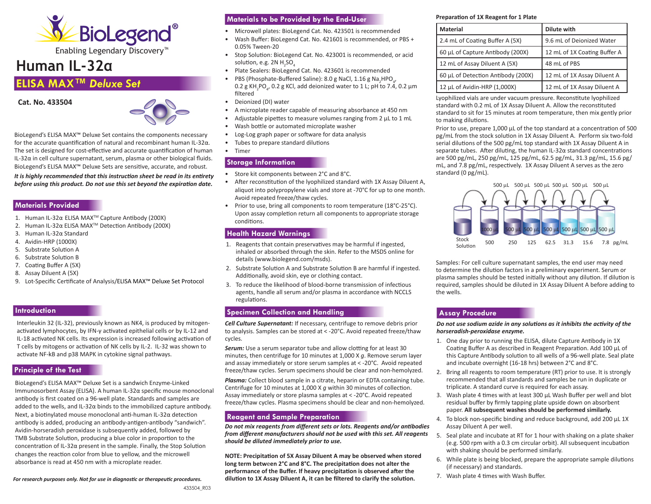

# **Human IL-32α**

## **ELISA MAX™** *Deluxe Set*

**Cat. No. 433504** 



BioLegend's ELISA MAX™ Deluxe Set contains the components necessary for the accurate quantification of natural and recombinant human IL-32α. The set is designed for cost-effective and accurate quantification of human IL-32α in cell culture supernatant, serum, plasma or other biological fluids. BioLegend's ELISA MAX™ Deluxe Sets are sensitive, accurate, and robust.

*It is highly recommended that this instruction sheet be read in its entirety before using this product. Do not use this set beyond the expiration date.*

#### **Materials Provided**

- 1. Human IL-32α ELISA MAXTM Capture Antibody (200X)
- 2. Human IL-32α ELISA MAXTM Detection Antibody (200X)
- 3. Human IL-32α Standard
- 4. Avidin-HRP (1000X)
- 5. Substrate Solution A
- 6. Substrate Solution B
- 7. Coating Buffer A (5X)
- 8. Assay Diluent A (5X)
- 9. Lot-Specific Certificate of Analysis/ELISA MAX™ Deluxe Set Protocol

### **Introduction**

Interleukin 32 (IL-32), previously known as NK4, is produced by mitogenactivated lymphocytes, by IFN-γ activated epithelial cells or by IL-12 and IL-18 activated NK cells. Its expression is increased following activation of T cells by mitogens or activation of NK cells by IL-2. IL-32 was shown to activate NF-kB and p38 MAPK in cytokine signal pathways.

## **Principle of the Test**

BioLegend's ELISA MAX™ Deluxe Set is a sandwich Enzyme-Linked Immunosorbent Assay (ELISA). A human IL-32α specific mouse monoclonal antibody is first coated on a 96-well plate. Standards and samples are added to the wells, and IL-32α binds to the immobilized capture antibody. Next, a biotinylated mouse monoclonal anti-human IL-32α detection antibody is added, producing an antibody-antigen-antibody "sandwich". Avidin-horseradish peroxidase is subsequently added, followed by TMB Substrate Solution, producing a blue color in proportion to the concentration of IL-32α present in the sample. Finally, the Stop Solution changes the reaction color from blue to yellow, and the microwell absorbance is read at 450 nm with a microplate reader.

*For research purposes only. Not for use in diagnostic or therapeutic procedures.*

## **Materials to be Provided by the End-User**

- Microwell plates: BioLegend Cat. No. 423501 is recommended
- Wash Buffer: BioLegend Cat. No. 421601 is recommended, or PBS + 0.05% Tween-20
- Stop Solution: BioLegend Cat. No. 423001 is recommended, or acid solution, e.g. 2N  $H_2$ SO $_4$
- Plate Sealers: BioLegend Cat. No. 423601 is recommended
- PBS (Phosphate-Buffered Saline): 8.0 g NaCl, 1.16 g Na<sub>2</sub>HPO<sub>4</sub>,  $0.2$  g KH<sub>2</sub>PO<sub>4</sub>, 0.2 g KCl, add deionized water to 1 L; pH to 7.4, 0.2 μm filtered
- Deionized (DI) water
- A microplate reader capable of measuring absorbance at 450 nm
- Adjustable pipettes to measure volumes ranging from 2 μL to 1 mL
- Wash bottle or automated microplate washer
- Log-Log graph paper or software for data analysis
- Tubes to prepare standard dilutions
- Timer

## **Storage Information**

- Store kit components between 2°C and 8°C.
- After reconstitution of the lyophilized standard with 1X Assay Diluent A, aliquot into polypropylene vials and store at -70°C for up to one month. Avoid repeated freeze/thaw cycles.
- Prior to use, bring all components to room temperature (18°C-25°C). Upon assay completion return all components to appropriate storage conditions.

## **Health Hazard Warnings**

- 1. Reagents that contain preservatives may be harmful if ingested, inhaled or absorbed through the skin. Refer to the MSDS online for details (www.biolegend.com/msds).
- 2. Substrate Solution A and Substrate Solution B are harmful if ingested. Additionally, avoid skin, eye or clothing contact.
- 3. To reduce the likelihood of blood-borne transmission of infectious agents, handle all serum and/or plasma in accordance with NCCLS regulations.

## **Specimen Collection and Handling**

*Cell Culture Supernatant:* If necessary, centrifuge to remove debris prior to analysis. Samples can be stored at < -20°C. Avoid repeated freeze/thaw cycles.

**Serum:** Use a serum separator tube and allow clotting for at least 30 minutes, then centrifuge for 10 minutes at 1,000 X *g*. Remove serum layer and assay immediately or store serum samples at < -20°C. Avoid repeated freeze/thaw cycles. Serum specimens should be clear and non-hemolyzed.

*Plasma:* Collect blood sample in a citrate, heparin or EDTA containing tube. Centrifuge for 10 minutes at 1,000 X *g* within 30 minutes of collection. Assay immediately or store plasma samples at < -20°C. Avoid repeated freeze/thaw cycles. Plasma specimens should be clear and non-hemolyzed.

## **Reagent and Sample Preparation**

*Do not mix reagents from different sets or lots. Reagents and/or antibodies from different manufacturers should not be used with this set. All reagents should be diluted immediately prior to use.*

**NOTE: Precipitation of 5X Assay Diluent A may be observed when stored long term betw**e**en 2°C and 8°C. The precipitation does not alter the performance of the Buffer. If heavy precipitation is observed after the dilution to 1X Assay Diluent A, it can be filtered to clarify the solution.**

#### **Preparation of 1X Reagent for 1 Plate**

| <b>Material</b>                    | Dilute with                  |
|------------------------------------|------------------------------|
| 2.4 mL of Coating Buffer A (5X)    | 9.6 mL of Deionized Water    |
| 60 µL of Capture Antibody (200X)   | 12 mL of 1X Coating Buffer A |
| 12 mL of Assay Diluent A (5X)      | 48 mL of PBS                 |
| 60 µL of Detection Antibody (200X) | 12 mL of 1X Assay Diluent A  |
| 12 µL of Avidin-HRP (1,000X)       | 12 mL of 1X Assay Diluent A  |

Lyophilized vials are under vacuum pressure. Reconstitute lyophilized standard with 0.2 mL of 1X Assay Diluent A. Allow the reconstituted standard to sit for 15 minutes at room temperature, then mix gently prior to making dilutions.

Prior to use, prepare 1,000 μL of the top standard at a concentration of 500 pg/mL from the stock solution in 1X Assay Diluent A. Perform six two-fold serial dilutions of the 500 pg/mL top standard with 1X Assay Diluent A in separate tubes. After diluting, the human IL-32α standard concentrations are 500 pg/mL, 250 pg/mL, 125 pg/mL, 62.5 pg/mL, 31.3 pg/mL, 15.6 pg/ mL, and 7.8 pg/mL, respectively. 1X Assay Diluent A serves as the zero standard (0 pg/mL).



Samples: For cell culture supernatant samples, the end user may need to determine the dilution factors in a preliminary experiment. Serum or plasma samples should be tested initially without any dilution. If dilution is required, samples should be diluted in 1X Assay Diluent A before adding to the wells.

## **Assay Procedure**

*Do not use sodium azide in any solutions as it inhibits the activity of the horseradish-peroxidase enzyme.* 

- 1. One day prior to running the ELISA, dilute Capture Antibody in 1X Coating Buffer A as described in Reagent Preparation. Add 100 μL of this Capture Antibody solution to all wells of a 96-well plate. Seal plate and incubate overnight (16-18 hrs) between 2°C and 8°C.
- 2. Bring all reagents to room temperature (RT) prior to use. It is strongly recommended that all standards and samples be run in duplicate or triplicate. A standard curve is required for each assay.
- 3. Wash plate 4 times with at least 300 μL Wash Buffer per well and blot residual buffer by firmly tapping plate upside down on absorbent paper. **All subsequent washes should be performed similarly.**
- 4. To block non-specific binding and reduce background, add 200 μL 1X Assay Diluent A per well.
- 5. Seal plate and incubate at RT for 1 hour with shaking on a plate shaker (e.g. 500 rpm with a 0.3 cm circular orbit). All subsequent incubation with shaking should be performed similarly.
- 6. While plate is being blocked, prepare the appropriate sample dilutions (if necessary) and standards.
- 7. Wash plate 4 times with Wash Buffer.